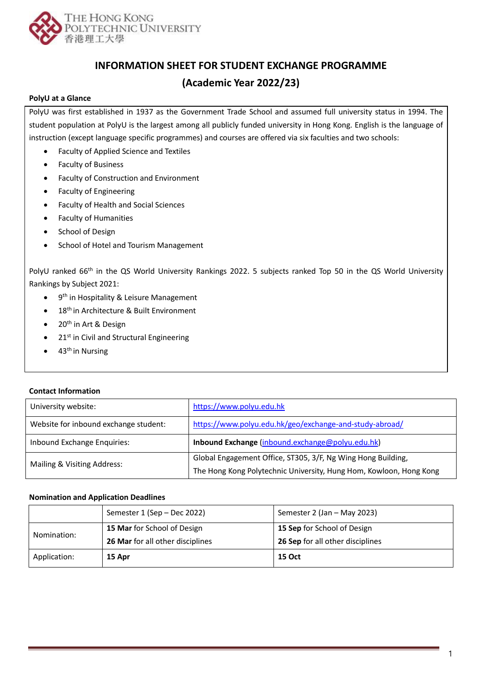

# **INFORMATION SHEET FOR STUDENT EXCHANGE PROGRAMME**

## **(Academic Year 2022/23)**

## **PolyU at a Glance**

PolyU was first established in 1937 as the Government Trade School and assumed full university status in 1994. The student population at PolyU is the largest among all publicly funded university in Hong Kong. English is the language of instruction (except language specific programmes) and courses are offered via six faculties and two schools:

- Faculty of Applied Science and Textiles
- Faculty of Business
- Faculty of Construction and Environment
- Faculty of Engineering
- Faculty of Health and Social Sciences
- Faculty of Humanities
- School of Design
- School of Hotel and Tourism Management

PolyU ranked 66<sup>th</sup> in the QS World University Rankings 2022. 5 subjects ranked Top 50 in the QS World University Rankings by Subject 2021:

- 9<sup>th</sup> in Hospitality & Leisure Management
- 18<sup>th</sup> in Architecture & Built Environment
- $\bullet$  20<sup>th</sup> in Art & Design
- $\bullet$  21st in Civil and Structural Engineering
- $\bullet$  43<sup>th</sup> in Nursing

## **Contact Information**

| University website:                   | https://www.polyu.edu.hk                                           |
|---------------------------------------|--------------------------------------------------------------------|
| Website for inbound exchange student: | https://www.polyu.edu.hk/geo/exchange-and-study-abroad/            |
| Inbound Exchange Enquiries:           | Inbound Exchange (inbound.exchange@polyu.edu.hk)                   |
| Mailing & Visiting Address:           | Global Engagement Office, ST305, 3/F, Ng Wing Hong Building,       |
|                                       | The Hong Kong Polytechnic University, Hung Hom, Kowloon, Hong Kong |

## **Nomination and Application Deadlines**

| Application: | 15 Apr                                  | 15 Oct                           |
|--------------|-----------------------------------------|----------------------------------|
| Nomination:  | <b>26 Mar</b> for all other disciplines | 26 Sep for all other disciplines |
|              | 15 Mar for School of Design             | 15 Sep for School of Design      |
|              | Semester 1 (Sep - Dec 2022)             | Semester 2 (Jan - May 2023)      |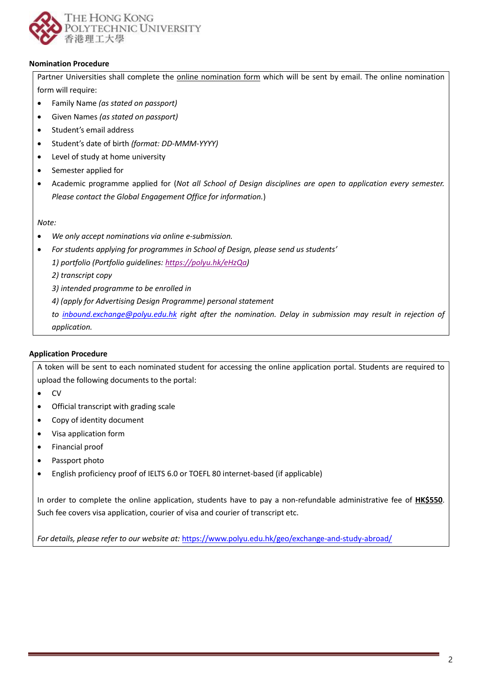

## **Nomination Procedure**

Partner Universities shall complete the online nomination form which will be sent by email. The online nomination form will require:

- Family Name *(as stated on passport)*
- Given Names *(as stated on passport)*
- Student's email address
- Student's date of birth *(format: DD-MMM-YYYY)*
- Level of study at home university
- Semester applied for
- Academic programme applied for (*Not all School of Design disciplines are open to application every semester. Please contact the Global Engagement Office for information.*)

*Note:* 

- *We only accept nominations via online e-submission.*
- *For students applying for programmes in School of Design, please send us students'*

*1) portfolio (Portfolio guidelines: [https://polyu.hk/eHzQa\)](https://polyu.hk/eHzQa)*

*2) transcript copy*

*3) intended programme to be enrolled in*

*4) (apply for Advertising Design Programme) personal statement* 

*to [inbound.exchange@polyu.edu.hk](mailto:inbound.exchange@polyu.edu.hk) right after the nomination. Delay in submission may result in rejection of application.*

## **Application Procedure**

A token will be sent to each nominated student for accessing the online application portal. Students are required to upload the following documents to the portal:

- CV
- Official transcript with grading scale
- Copy of identity document
- Visa application form
- Financial proof
- Passport photo
- English proficiency proof of IELTS 6.0 or TOEFL 80 internet-based (if applicable)

In order to complete the online application, students have to pay a non-refundable administrative fee of **HK\$550**. Such fee covers visa application, courier of visa and courier of transcript etc.

*For details, please refer to our website at:* <https://www.polyu.edu.hk/geo/exchange-and-study-abroad/>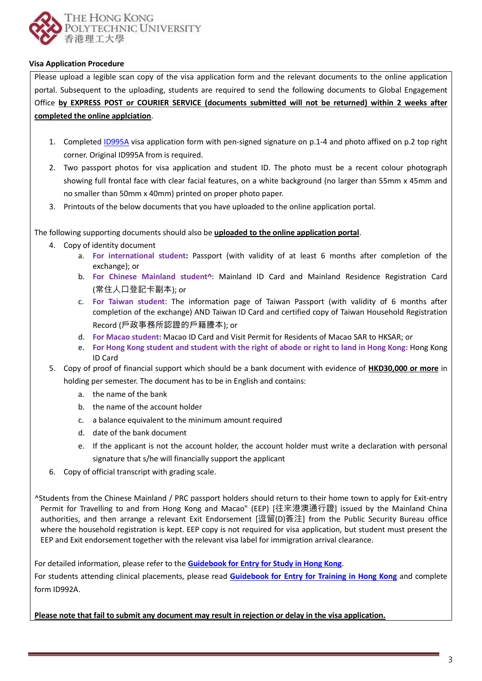

## **Visa Application Procedure**

Please upload a legible scan copy of the visa application form and the relevant documents to the online application portal. Subsequent to the uploading, students are required to send the following documents to Global Engagement Office **by EXPRESS POST or COURIER SERVICE (documents submitted will not be returned) within 2 weeks after completed the online applciation**.

- 1. Completed [ID995A](http://www.immd.gov.hk/pdforms/ID995A.pdf) visa application form with pen-signed signature on p.1-4 and photo affixed on p.2 top right corner. Original ID995A from is required.
- 2. Two passport photos for visa application and student ID. The photo must be a recent colour photograph showing full frontal face with clear facial features, on a white background (no larger than 55mm x 45mm and no smaller than 50mm x 40mm) printed on proper photo paper.
- 3. Printouts of the below documents that you have uploaded to the online application portal.

The following supporting documents should also be **uploaded to the online application portal**.

- 4. Copy of identity document
	- a. **For international student:** Passport (with validity of at least 6 months after completion of the exchange); or
	- b. **For Chinese Mainland student^**: Mainland ID Card and Mainland Residence Registration Card (常住人口登記卡副本); or
	- c. **For Taiwan student**: The information page of Taiwan Passport (with validity of 6 months after completion of the exchange) AND Taiwan ID Card and certified copy of Taiwan Household Registration Record (戶政事務所認證的戶籍謄本); or
	- d. **For Macao student:** Macao ID Card and Visit Permit for Residents of Macao SAR to HKSAR; or
	- e. **For Hong Kong student and student with the right of abode or right to land in Hong Kong:** Hong Kong ID Card
- 5. Copy of proof of financial support which should be a bank document with evidence of **HKD30,000 or more** in holding per semester. The document has to be in English and contains:
	- a. the name of the bank
	- b. the name of the account holder
	- c. a balance equivalent to the minimum amount required
	- d. date of the bank document
	- e. If the applicant is not the account holder, the account holder must write a declaration with personal signature that s/he will financially support the applicant
- 6. Copy of official transcript with grading scale.

^Students from the Chinese Mainland / PRC passport holders should return to their home town to apply for Exit-entry Permit for Travelling to and from Hong Kong and Macao" (EEP) [往来港澳通行證] issued by the Mainland China authorities, and then arrange a relevant Exit Endorsement [逗留(D)簽注] from the Public Security Bureau office where the household registration is kept. EEP copy is not required for visa application, but student must present the EEP and Exit endorsement together with the relevant visa label for immigration arrival clearance.

For detailed information, please refer to the **[Guidebook for Entry for Study in Hong Kong](https://www.immd.gov.hk/pdforms/ID(E)996.pdf)**.

For students attending clinical placements, please read **[Guidebook for Entry for Training in Hong Kong](https://www.immd.gov.hk/pdforms/ID(E)993.pdf)** and complete for[m ID992A.](http://www.immd.gov.hk/pdforms/ID992A.pdf)

**Please note that fail to submit any document may result in rejection or delay in the visa application.**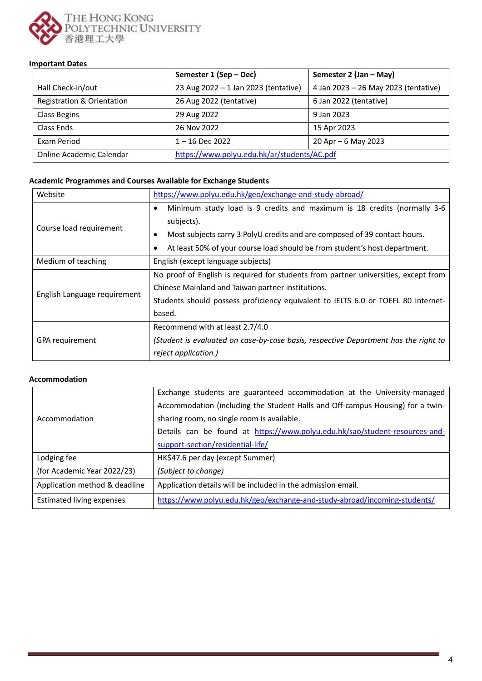

## **Important Dates**

|                                       | Semester 1 (Sep - Dec)                      | Semester 2 (Jan - May)               |
|---------------------------------------|---------------------------------------------|--------------------------------------|
| Hall Check-in/out                     | 23 Aug $2022 - 1$ Jan 2023 (tentative)      | 4 Jan 2023 - 26 May 2023 (tentative) |
| <b>Registration &amp; Orientation</b> | 26 Aug 2022 (tentative)                     | 6 Jan 2022 (tentative)               |
| Class Begins                          | 29 Aug 2022                                 | 9 Jan 2023                           |
| Class Ends                            | 26 Nov 2022                                 | 15 Apr 2023                          |
| Exam Period                           | $1 - 16$ Dec 2022                           | 20 Apr $-6$ May 2023                 |
| Online Academic Calendar              | https://www.polyu.edu.hk/ar/students/AC.pdf |                                      |

#### **Academic Programmes and Courses Available for Exchange Students**

| Website                      | https://www.polyu.edu.hk/geo/exchange-and-study-abroad/                             |  |
|------------------------------|-------------------------------------------------------------------------------------|--|
| Course load requirement      | Minimum study load is 9 credits and maximum is 18 credits (normally 3-6<br>٠        |  |
|                              | subjects).                                                                          |  |
|                              | Most subjects carry 3 PolyU credits and are composed of 39 contact hours.<br>٠      |  |
|                              | At least 50% of your course load should be from student's host department.          |  |
| Medium of teaching           | English (except language subjects)                                                  |  |
| English Language requirement | No proof of English is required for students from partner universities, except from |  |
|                              | Chinese Mainland and Taiwan partner institutions.                                   |  |
|                              | Students should possess proficiency equivalent to IELTS 6.0 or TOEFL 80 internet-   |  |
|                              | based.                                                                              |  |
| GPA requirement              | Recommend with at least 2.7/4.0                                                     |  |
|                              | (Student is evaluated on case-by-case basis, respective Department has the right to |  |
|                              | reject application.)                                                                |  |

## **Accommodation**

|                                  | Exchange students are guaranteed accommodation at the University-managed       |
|----------------------------------|--------------------------------------------------------------------------------|
|                                  | Accommodation (including the Student Halls and Off-campus Housing) for a twin- |
| Accommodation                    | sharing room, no single room is available.                                     |
|                                  | Details can be found at https://www.polyu.edu.hk/sao/student-resources-and-    |
|                                  | support-section/residential-life/                                              |
| Lodging fee                      | HK\$47.6 per day (except Summer)                                               |
| (for Academic Year 2022/23)      | (Subject to change)                                                            |
| Application method & deadline    | Application details will be included in the admission email.                   |
| <b>Estimated living expenses</b> | https://www.polyu.edu.hk/geo/exchange-and-study-abroad/incoming-students/      |